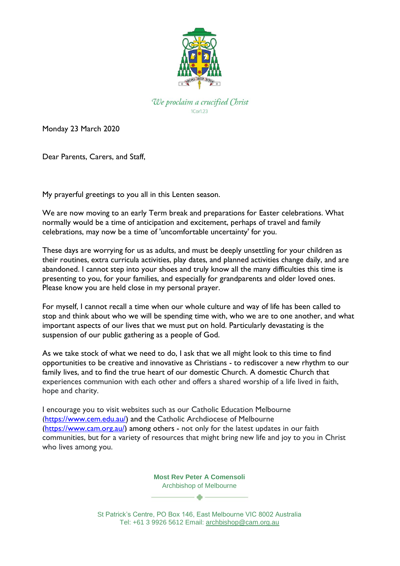

We proclaim a crucified Christ  $10<sub>0</sub>$ r $123$ 

Monday 23 March 2020

Dear Parents, Carers, and Staff,

My prayerful greetings to you all in this Lenten season.

We are now moving to an early Term break and preparations for Easter celebrations. What normally would be a time of anticipation and excitement, perhaps of travel and family celebrations, may now be a time of 'uncomfortable uncertainty' for you.

These days are worrying for us as adults, and must be deeply unsettling for your children as their routines, extra curricula activities, play dates, and planned activities change daily, and are abandoned. I cannot step into your shoes and truly know all the many difficulties this time is presenting to you, for your families, and especially for grandparents and older loved ones. Please know you are held close in my personal prayer.

For myself, I cannot recall a time when our whole culture and way of life has been called to stop and think about who we will be spending time with, who we are to one another, and what important aspects of our lives that we must put on hold. Particularly devastating is the suspension of our public gathering as a people of God.

As we take stock of what we need to do, I ask that we all might look to this time to find opportunities to be creative and innovative as Christians - to rediscover a new rhythm to our family lives, and to find the true heart of our domestic Church. A domestic Church that experiences communion with each other and offers a shared worship of a life lived in faith, hope and charity.

I encourage you to visit websites such as our Catholic Education Melbourne [\(https://www.cem.edu.au/\)](https://www.cem.edu.au/) and the Catholic Archdiocese of Melbourne [\(https://www.cam.org.au/\)](https://www.cam.org.au/) among others - not only for the latest updates in our faith communities, but for a variety of resources that might bring new life and joy to you in Christ who lives among you.

> **Most Rev Peter A Comensoli** Archbishop of Melbourne

St Patrick's Centre, PO Box 146, East Melbourne VIC 8002 Australia Tel: +61 3 9926 5612 Email: [archbishop@cam.org.au](mailto:%20archbishop@cam.org.au)